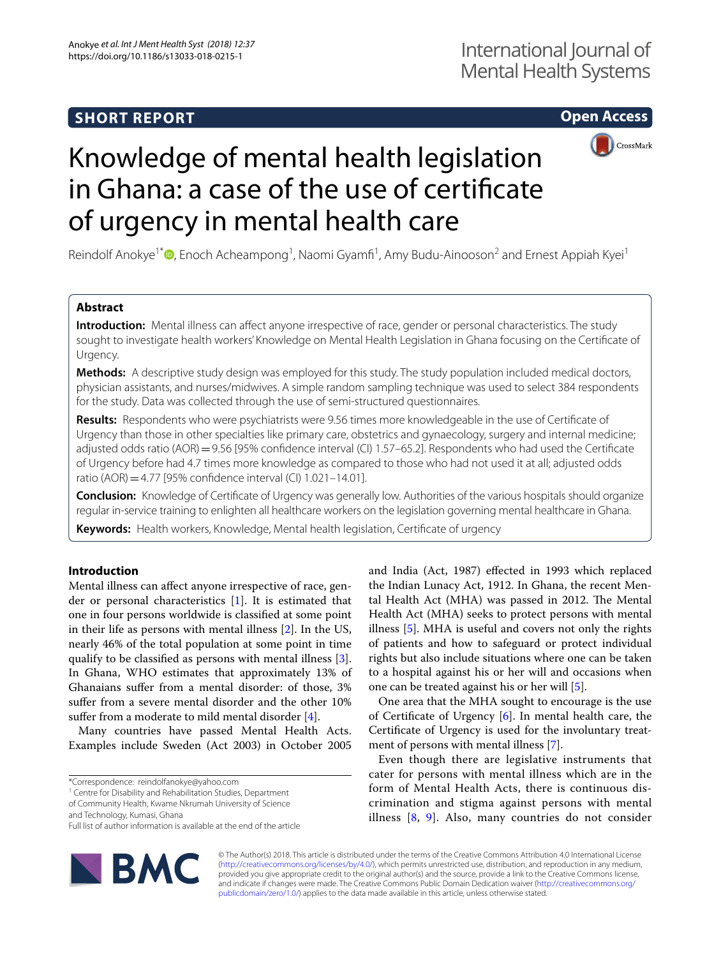# **SHORT REPORT**

# **Open Access**



# Knowledge of mental health legislation in Ghana: a case of the use of certifcate of urgency in mental health care

Reindolf Anokye<sup>1\*</sup>®[,](http://orcid.org/0000-0002-7669-7057) Enoch Acheampong<sup>1</sup>, Naomi Gyamfi<sup>1</sup>, Amy Budu-Ainooson<sup>2</sup> and Ernest Appiah Kyei<sup>1</sup>

# **Abstract**

**Introduction:** Mental illness can affect anyone irrespective of race, gender or personal characteristics. The study sought to investigate health workers' Knowledge on Mental Health Legislation in Ghana focusing on the Certifcate of Urgency.

**Methods:** A descriptive study design was employed for this study. The study population included medical doctors, physician assistants, and nurses/midwives. A simple random sampling technique was used to select 384 respondents for the study. Data was collected through the use of semi-structured questionnaires.

**Results:** Respondents who were psychiatrists were 9.56 times more knowledgeable in the use of Certifcate of Urgency than those in other specialties like primary care, obstetrics and gynaecology, surgery and internal medicine; adjusted odds ratio (AOR)=9.56 [95% confidence interval (CI) 1.57–65.2]. Respondents who had used the Certificate of Urgency before had 4.7 times more knowledge as compared to those who had not used it at all; adjusted odds ratio (AOR)=4.77 [95% confdence interval (CI) 1.021–14.01].

**Conclusion:** Knowledge of Certifcate of Urgency was generally low. Authorities of the various hospitals should organize regular in-service training to enlighten all healthcare workers on the legislation governing mental healthcare in Ghana.

**Keywords:** Health workers, Knowledge, Mental health legislation, Certifcate of urgency

# **Introduction**

Mental illness can afect anyone irrespective of race, gender or personal characteristics [[1\]](#page-6-0). It is estimated that one in four persons worldwide is classifed at some point in their life as persons with mental illness [\[2](#page-6-1)]. In the US, nearly 46% of the total population at some point in time qualify to be classifed as persons with mental illness [\[3](#page-6-2)]. In Ghana, WHO estimates that approximately 13% of Ghanaians sufer from a mental disorder: of those, 3% sufer from a severe mental disorder and the other 10% suffer from a moderate to mild mental disorder [\[4](#page-6-3)].

Many countries have passed Mental Health Acts. Examples include Sweden (Act 2003) in October 2005

<sup>1</sup> Centre for Disability and Rehabilitation Studies, Department

and Technology, Kumasi, Ghana

Full list of author information is available at the end of the article



and India (Act, 1987) efected in 1993 which replaced the Indian Lunacy Act, 1912. In Ghana, the recent Mental Health Act (MHA) was passed in 2012. The Mental Health Act (MHA) seeks to protect persons with mental illness [\[5](#page-6-4)]. MHA is useful and covers not only the rights of patients and how to safeguard or protect individual rights but also include situations where one can be taken to a hospital against his or her will and occasions when one can be treated against his or her will [[5\]](#page-6-4).

One area that the MHA sought to encourage is the use of Certifcate of Urgency [[6](#page-6-5)]. In mental health care, the Certifcate of Urgency is used for the involuntary treatment of persons with mental illness [[7\]](#page-6-6).

Even though there are legislative instruments that cater for persons with mental illness which are in the form of Mental Health Acts, there is continuous discrimination and stigma against persons with mental illness [[8,](#page-6-7) [9](#page-6-8)]. Also, many countries do not consider

© The Author(s) 2018. This article is distributed under the terms of the Creative Commons Attribution 4.0 International License [\(http://creativecommons.org/licenses/by/4.0/\)](http://creativecommons.org/licenses/by/4.0/), which permits unrestricted use, distribution, and reproduction in any medium, provided you give appropriate credit to the original author(s) and the source, provide a link to the Creative Commons license, and indicate if changes were made. The Creative Commons Public Domain Dedication waiver ([http://creativecommons.org/](http://creativecommons.org/publicdomain/zero/1.0/) [publicdomain/zero/1.0/](http://creativecommons.org/publicdomain/zero/1.0/)) applies to the data made available in this article, unless otherwise stated.

<sup>\*</sup>Correspondence: reindolfanokye@yahoo.com

of Community Health, Kwame Nkrumah University of Science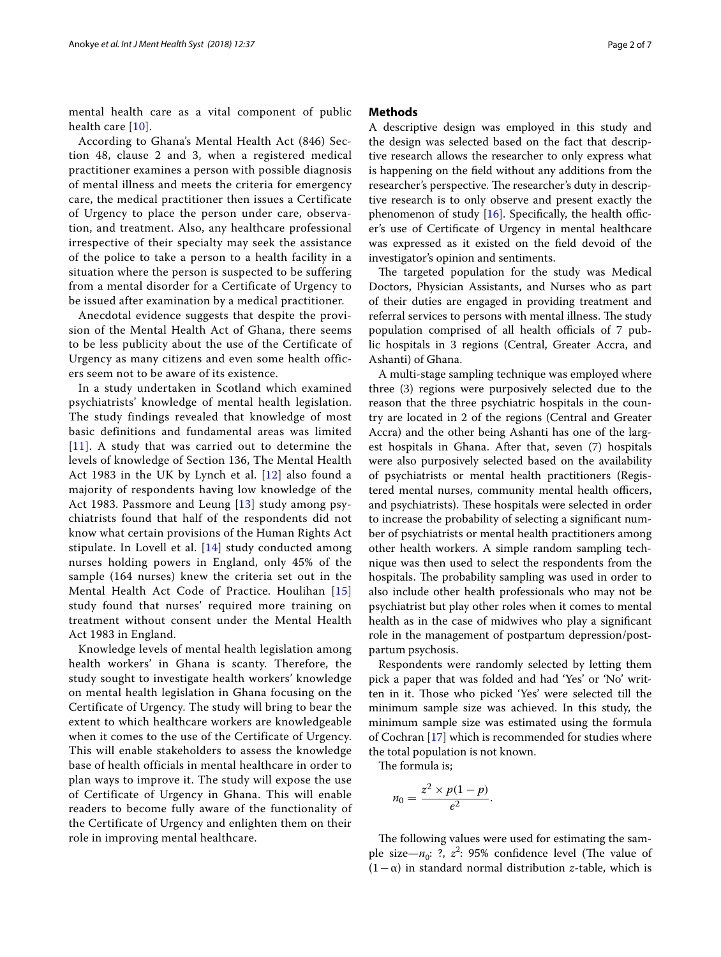mental health care as a vital component of public health care [[10\]](#page-6-9).

According to Ghana's Mental Health Act (846) Section 48, clause 2 and 3, when a registered medical practitioner examines a person with possible diagnosis of mental illness and meets the criteria for emergency care, the medical practitioner then issues a Certificate of Urgency to place the person under care, observation, and treatment. Also, any healthcare professional irrespective of their specialty may seek the assistance of the police to take a person to a health facility in a situation where the person is suspected to be suffering from a mental disorder for a Certificate of Urgency to be issued after examination by a medical practitioner.

Anecdotal evidence suggests that despite the provision of the Mental Health Act of Ghana, there seems to be less publicity about the use of the Certificate of Urgency as many citizens and even some health officers seem not to be aware of its existence.

In a study undertaken in Scotland which examined psychiatrists' knowledge of mental health legislation. The study findings revealed that knowledge of most basic definitions and fundamental areas was limited  $[11]$  $[11]$  $[11]$ . A study that was carried out to determine the levels of knowledge of Section 136, The Mental Health Act 1983 in the UK by Lynch et al. [\[12\]](#page-6-11) also found a majority of respondents having low knowledge of the Act 1983. Passmore and Leung [\[13\]](#page-6-12) study among psychiatrists found that half of the respondents did not know what certain provisions of the Human Rights Act stipulate. In Lovell et al. [[14\]](#page-6-13) study conducted among nurses holding powers in England, only 45% of the sample (164 nurses) knew the criteria set out in the Mental Health Act Code of Practice. Houlihan [[15](#page-6-14)] study found that nurses' required more training on treatment without consent under the Mental Health Act 1983 in England.

Knowledge levels of mental health legislation among health workers' in Ghana is scanty. Therefore, the study sought to investigate health workers' knowledge on mental health legislation in Ghana focusing on the Certificate of Urgency. The study will bring to bear the extent to which healthcare workers are knowledgeable when it comes to the use of the Certificate of Urgency. This will enable stakeholders to assess the knowledge base of health officials in mental healthcare in order to plan ways to improve it. The study will expose the use of Certificate of Urgency in Ghana. This will enable readers to become fully aware of the functionality of the Certificate of Urgency and enlighten them on their role in improving mental healthcare.

#### **Methods**

A descriptive design was employed in this study and the design was selected based on the fact that descriptive research allows the researcher to only express what is happening on the feld without any additions from the researcher's perspective. The researcher's duty in descriptive research is to only observe and present exactly the phenomenon of study  $[16]$  $[16]$  $[16]$ . Specifically, the health officer's use of Certifcate of Urgency in mental healthcare was expressed as it existed on the feld devoid of the investigator's opinion and sentiments.

The targeted population for the study was Medical Doctors, Physician Assistants, and Nurses who as part of their duties are engaged in providing treatment and referral services to persons with mental illness. The study population comprised of all health officials of 7 public hospitals in 3 regions (Central, Greater Accra, and Ashanti) of Ghana.

A multi-stage sampling technique was employed where three (3) regions were purposively selected due to the reason that the three psychiatric hospitals in the country are located in 2 of the regions (Central and Greater Accra) and the other being Ashanti has one of the largest hospitals in Ghana. After that, seven (7) hospitals were also purposively selected based on the availability of psychiatrists or mental health practitioners (Registered mental nurses, community mental health officers, and psychiatrists). These hospitals were selected in order to increase the probability of selecting a signifcant number of psychiatrists or mental health practitioners among other health workers. A simple random sampling technique was then used to select the respondents from the hospitals. The probability sampling was used in order to also include other health professionals who may not be psychiatrist but play other roles when it comes to mental health as in the case of midwives who play a signifcant role in the management of postpartum depression/postpartum psychosis.

Respondents were randomly selected by letting them pick a paper that was folded and had 'Yes' or 'No' written in it. Tose who picked 'Yes' were selected till the minimum sample size was achieved. In this study, the minimum sample size was estimated using the formula of Cochran [\[17\]](#page-6-16) which is recommended for studies where the total population is not known.

The formula is;

$$
n_0=\frac{z^2\times p(1-p)}{e^2}.
$$

The following values were used for estimating the sample size— $n_0$ : ?,  $z^2$ : 95% confidence level (The value of (1−α) in standard normal distribution *z*-table, which is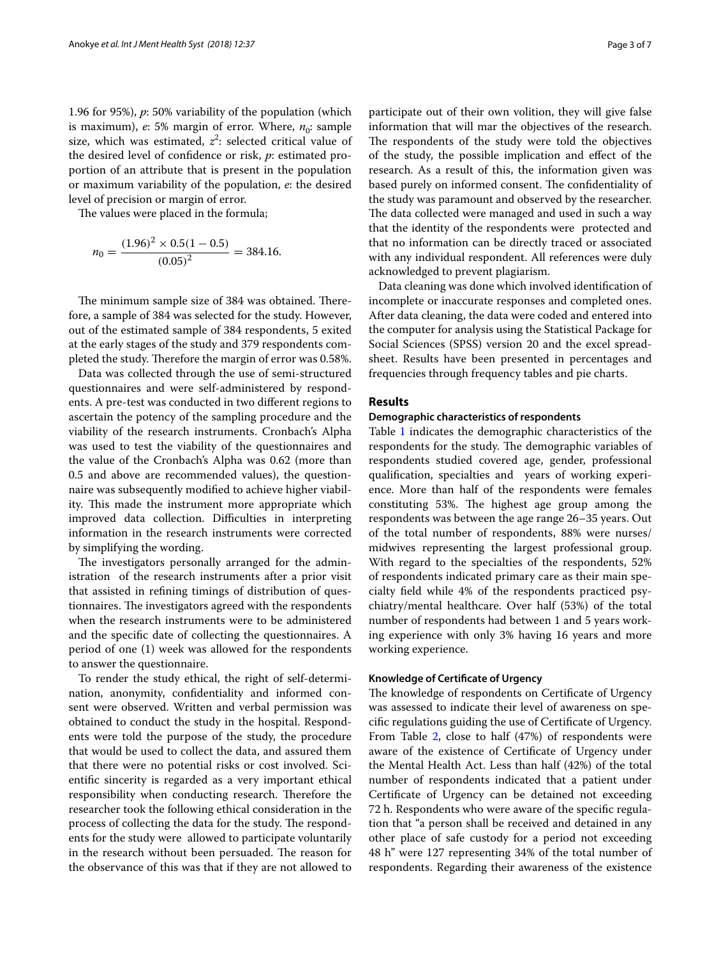1.96 for 95%), *p*: 50% variability of the population (which is maximum),  $e: 5\%$  margin of error. Where,  $n_0$ : sample size, which was estimated,  $z^2$ : selected critical value of the desired level of confdence or risk, *p*: estimated proportion of an attribute that is present in the population or maximum variability of the population, *e*: the desired level of precision or margin of error.

The values were placed in the formula;

$$
n_0 = \frac{(1.96)^2 \times 0.5(1 - 0.5)}{(0.05)^2} = 384.16.
$$

The minimum sample size of 384 was obtained. Therefore, a sample of 384 was selected for the study. However, out of the estimated sample of 384 respondents, 5 exited at the early stages of the study and 379 respondents completed the study. Therefore the margin of error was 0.58%.

Data was collected through the use of semi-structured questionnaires and were self-administered by respondents. A pre-test was conducted in two diferent regions to ascertain the potency of the sampling procedure and the viability of the research instruments. Cronbach's Alpha was used to test the viability of the questionnaires and the value of the Cronbach's Alpha was 0.62 (more than 0.5 and above are recommended values), the questionnaire was subsequently modifed to achieve higher viability. This made the instrument more appropriate which improved data collection. Difficulties in interpreting information in the research instruments were corrected by simplifying the wording.

The investigators personally arranged for the administration of the research instruments after a prior visit that assisted in refning timings of distribution of questionnaires. The investigators agreed with the respondents when the research instruments were to be administered and the specifc date of collecting the questionnaires. A period of one (1) week was allowed for the respondents to answer the questionnaire.

To render the study ethical, the right of self-determination, anonymity, confdentiality and informed consent were observed. Written and verbal permission was obtained to conduct the study in the hospital. Respondents were told the purpose of the study, the procedure that would be used to collect the data, and assured them that there were no potential risks or cost involved. Scientifc sincerity is regarded as a very important ethical responsibility when conducting research. Therefore the researcher took the following ethical consideration in the process of collecting the data for the study. The respondents for the study were allowed to participate voluntarily in the research without been persuaded. The reason for the observance of this was that if they are not allowed to

participate out of their own volition, they will give false information that will mar the objectives of the research. The respondents of the study were told the objectives of the study, the possible implication and efect of the research. As a result of this, the information given was based purely on informed consent. The confidentiality of the study was paramount and observed by the researcher. The data collected were managed and used in such a way that the identity of the respondents were protected and that no information can be directly traced or associated with any individual respondent. All references were duly acknowledged to prevent plagiarism.

Data cleaning was done which involved identifcation of incomplete or inaccurate responses and completed ones. After data cleaning, the data were coded and entered into the computer for analysis using the Statistical Package for Social Sciences (SPSS) version 20 and the excel spreadsheet. Results have been presented in percentages and frequencies through frequency tables and pie charts.

# **Results**

#### **Demographic characteristics of respondents**

Table [1](#page-3-0) indicates the demographic characteristics of the respondents for the study. The demographic variables of respondents studied covered age, gender, professional qualifcation, specialties and years of working experience. More than half of the respondents were females constituting 53%. The highest age group among the respondents was between the age range 26–35 years. Out of the total number of respondents, 88% were nurses/ midwives representing the largest professional group. With regard to the specialties of the respondents, 52% of respondents indicated primary care as their main specialty feld while 4% of the respondents practiced psychiatry/mental healthcare. Over half (53%) of the total number of respondents had between 1 and 5 years working experience with only 3% having 16 years and more working experience.

#### **Knowledge of Certifcate of Urgency**

The knowledge of respondents on Certificate of Urgency was assessed to indicate their level of awareness on specifc regulations guiding the use of Certifcate of Urgency. From Table [2](#page-3-1), close to half (47%) of respondents were aware of the existence of Certifcate of Urgency under the Mental Health Act. Less than half (42%) of the total number of respondents indicated that a patient under Certifcate of Urgency can be detained not exceeding 72 h. Respondents who were aware of the specifc regulation that "a person shall be received and detained in any other place of safe custody for a period not exceeding 48 h" were 127 representing 34% of the total number of respondents. Regarding their awareness of the existence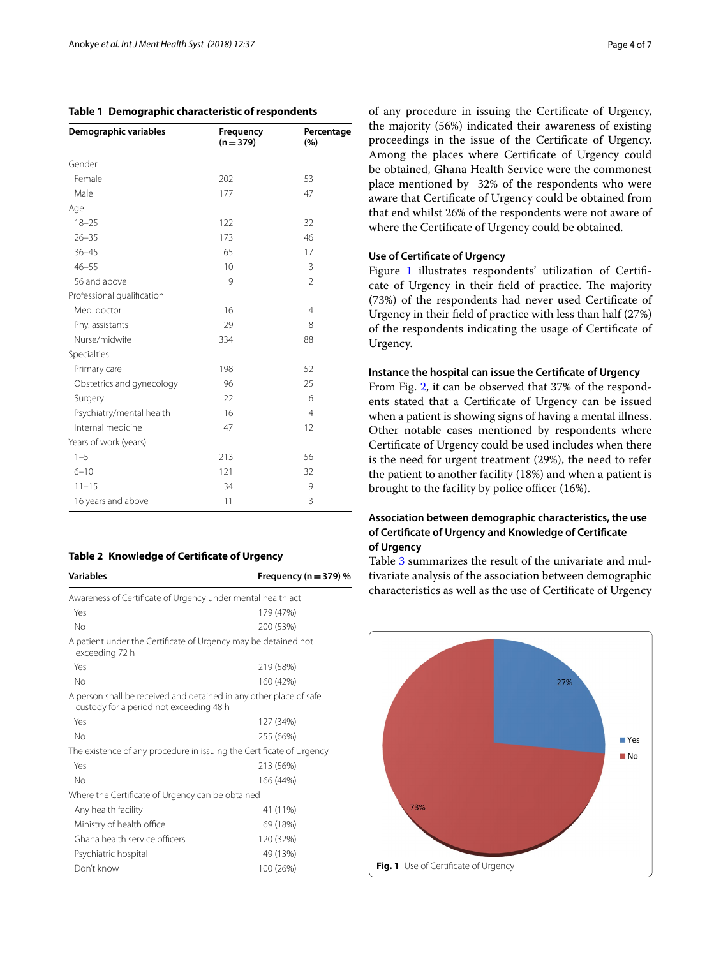<span id="page-3-0"></span>

|  |  | Table 1 Demographic characteristic of respondents |  |
|--|--|---------------------------------------------------|--|
|--|--|---------------------------------------------------|--|

| Demographic variables      | Frequency<br>$(n = 379)$ | Percentage<br>(%) |  |
|----------------------------|--------------------------|-------------------|--|
| Gender                     |                          |                   |  |
| Female                     | 202                      | 53                |  |
| Male                       | 177                      | 47                |  |
| Age                        |                          |                   |  |
| $18 - 25$                  | 122                      | 32                |  |
| $26 - 35$                  | 173                      | 46                |  |
| $36 - 45$                  | 65                       | 17                |  |
| $46 - 55$                  | 10                       | 3                 |  |
| 56 and above               | 9                        | $\overline{2}$    |  |
| Professional qualification |                          |                   |  |
| Med. doctor                | 16                       | $\overline{4}$    |  |
| Phy. assistants            | 29                       | 8                 |  |
| Nurse/midwife              | 334                      | 88                |  |
| Specialties                |                          |                   |  |
| Primary care               | 198                      | 52                |  |
| Obstetrics and gynecology  | 96                       | 25                |  |
| Surgery                    | 22                       | 6                 |  |
| Psychiatry/mental health   | 16                       | $\overline{4}$    |  |
| Internal medicine          | 47                       | 12                |  |
| Years of work (years)      |                          |                   |  |
| $1 - 5$                    | 213                      | 56                |  |
| $6 - 10$                   | 121                      | 32                |  |
| $11 - 15$                  | 34                       | 9                 |  |
| 16 years and above         | 11                       | 3                 |  |

#### <span id="page-3-1"></span>**Table 2 Knowledge of Certifcate of Urgency**

| <b>Variables</b>                                                                                              | Frequency (n = 379) $%$ |
|---------------------------------------------------------------------------------------------------------------|-------------------------|
| Awareness of Certificate of Urgency under mental health act                                                   |                         |
| Yes                                                                                                           | 179 (47%)               |
| No                                                                                                            | 200 (53%)               |
| A patient under the Certificate of Urgency may be detained not<br>exceeding 72 h                              |                         |
| Yes                                                                                                           | 219 (58%)               |
| No                                                                                                            | 160 (42%)               |
| A person shall be received and detained in any other place of safe<br>custody for a period not exceeding 48 h |                         |
| Yes                                                                                                           | 127 (34%)               |
| No                                                                                                            | 255 (66%)               |
| The existence of any procedure in issuing the Certificate of Urgency                                          |                         |
| Yes                                                                                                           | 213 (56%)               |
| No                                                                                                            | 166 (44%)               |
| Where the Certificate of Urgency can be obtained                                                              |                         |
| Any health facility                                                                                           | 41 (11%)                |
| Ministry of health office                                                                                     | 69 (18%)                |
| Ghana health service officers                                                                                 | 120 (32%)               |
| Psychiatric hospital                                                                                          | 49 (13%)                |
| Don't know                                                                                                    | 100 (26%)               |

of any procedure in issuing the Certifcate of Urgency, the majority (56%) indicated their awareness of existing proceedings in the issue of the Certifcate of Urgency. Among the places where Certifcate of Urgency could be obtained, Ghana Health Service were the commonest place mentioned by 32% of the respondents who were aware that Certifcate of Urgency could be obtained from that end whilst 26% of the respondents were not aware of where the Certifcate of Urgency could be obtained.

# **Use of Certifcate of Urgency**

Figure [1](#page-3-2) illustrates respondents' utilization of Certificate of Urgency in their field of practice. The majority (73%) of the respondents had never used Certifcate of Urgency in their feld of practice with less than half (27%) of the respondents indicating the usage of Certifcate of Urgency.

#### **Instance the hospital can issue the Certifcate of Urgency**

From Fig. [2](#page-4-0), it can be observed that 37% of the respondents stated that a Certifcate of Urgency can be issued when a patient is showing signs of having a mental illness. Other notable cases mentioned by respondents where Certifcate of Urgency could be used includes when there is the need for urgent treatment (29%), the need to refer the patient to another facility (18%) and when a patient is brought to the facility by police officer (16%).

# **Association between demographic characteristics, the use of Certifcate of Urgency and Knowledge of Certifcate of Urgency**

Table [3](#page-5-0) summarizes the result of the univariate and multivariate analysis of the association between demographic characteristics as well as the use of Certifcate of Urgency

<span id="page-3-2"></span>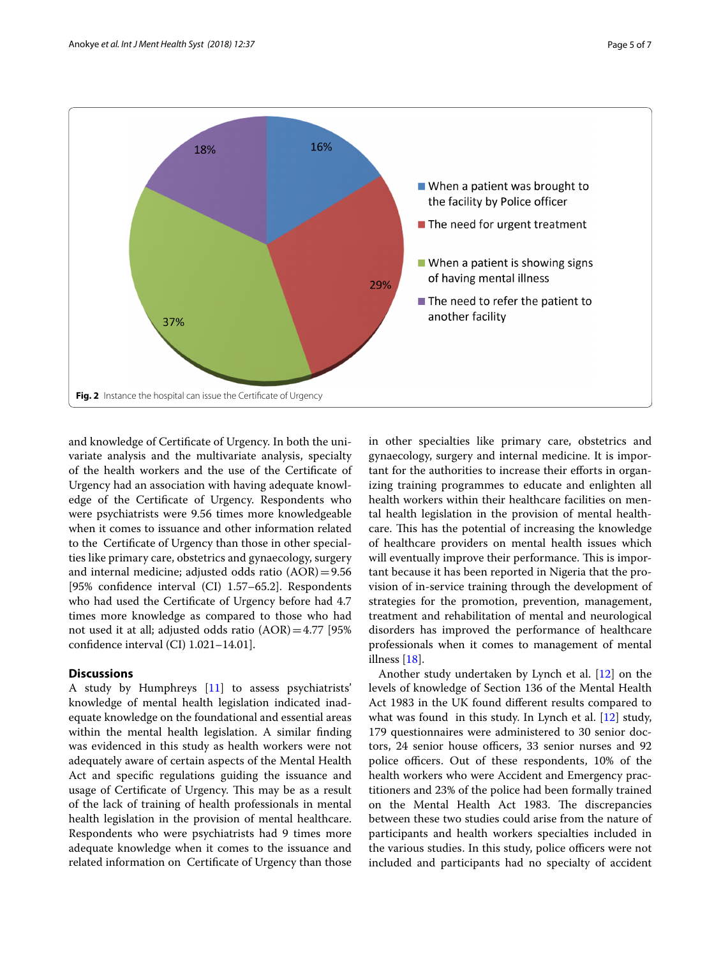

<span id="page-4-0"></span>and knowledge of Certifcate of Urgency. In both the univariate analysis and the multivariate analysis, specialty of the health workers and the use of the Certifcate of Urgency had an association with having adequate knowledge of the Certifcate of Urgency. Respondents who were psychiatrists were 9.56 times more knowledgeable when it comes to issuance and other information related to the Certifcate of Urgency than those in other specialties like primary care, obstetrics and gynaecology, surgery and internal medicine; adjusted odds ratio (AOR)=9.56 [95% confdence interval (CI) 1.57–65.2]. Respondents who had used the Certifcate of Urgency before had 4.7 times more knowledge as compared to those who had not used it at all; adjusted odds ratio  $(AOR)=4.77$  [95%] confdence interval (CI) 1.021–14.01].

# **Discussions**

A study by Humphreys [\[11](#page-6-10)] to assess psychiatrists' knowledge of mental health legislation indicated inadequate knowledge on the foundational and essential areas within the mental health legislation. A similar fnding was evidenced in this study as health workers were not adequately aware of certain aspects of the Mental Health Act and specifc regulations guiding the issuance and usage of Certificate of Urgency. This may be as a result of the lack of training of health professionals in mental health legislation in the provision of mental healthcare. Respondents who were psychiatrists had 9 times more adequate knowledge when it comes to the issuance and related information on Certifcate of Urgency than those in other specialties like primary care, obstetrics and gynaecology, surgery and internal medicine. It is important for the authorities to increase their efforts in organizing training programmes to educate and enlighten all health workers within their healthcare facilities on mental health legislation in the provision of mental healthcare. This has the potential of increasing the knowledge of healthcare providers on mental health issues which will eventually improve their performance. This is important because it has been reported in Nigeria that the provision of in-service training through the development of strategies for the promotion, prevention, management, treatment and rehabilitation of mental and neurological disorders has improved the performance of healthcare professionals when it comes to management of mental illness [[18](#page-6-17)].

Another study undertaken by Lynch et al. [\[12\]](#page-6-11) on the levels of knowledge of Section 136 of the Mental Health Act 1983 in the UK found diferent results compared to what was found in this study. In Lynch et al. [[12\]](#page-6-11) study, 179 questionnaires were administered to 30 senior doctors, 24 senior house officers, 33 senior nurses and 92 police officers. Out of these respondents, 10% of the health workers who were Accident and Emergency practitioners and 23% of the police had been formally trained on the Mental Health Act 1983. The discrepancies between these two studies could arise from the nature of participants and health workers specialties included in the various studies. In this study, police officers were not included and participants had no specialty of accident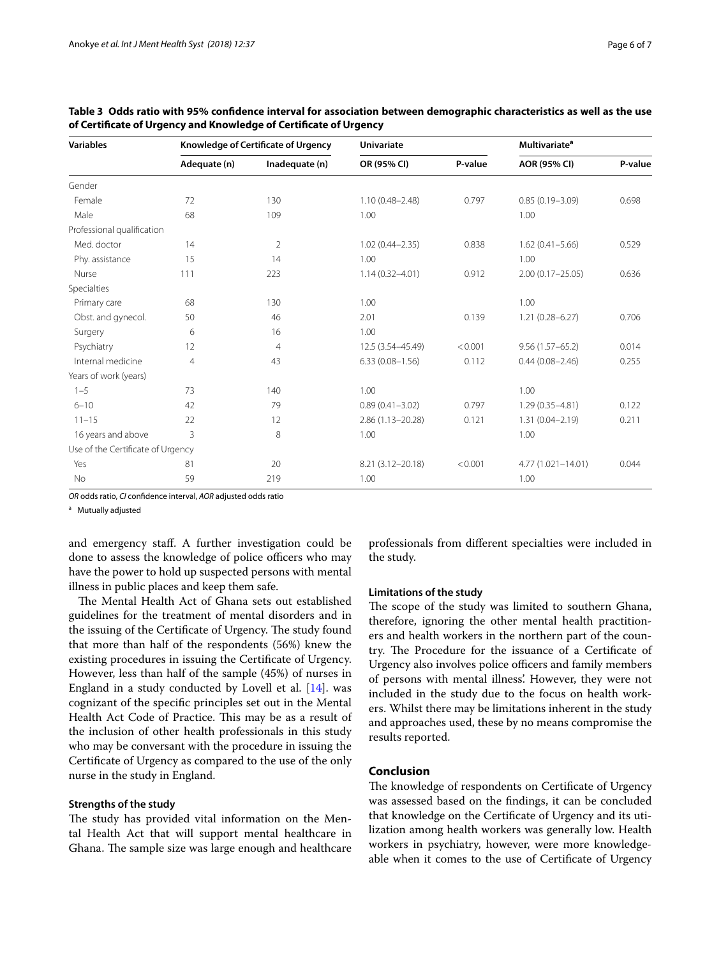| <b>Variables</b>                  | Knowledge of Certificate of Urgency |                | <b>Univariate</b>    |         | <b>Multivariate<sup>a</sup></b> |         |
|-----------------------------------|-------------------------------------|----------------|----------------------|---------|---------------------------------|---------|
|                                   | Adequate (n)                        | Inadequate (n) | OR (95% CI)          | P-value | AOR (95% CI)                    | P-value |
| Gender                            |                                     |                |                      |         |                                 |         |
| Female                            | 72                                  | 130            | $1.10(0.48 - 2.48)$  | 0.797   | $0.85(0.19 - 3.09)$             | 0.698   |
| Male                              | 68                                  | 109            | 1.00                 |         | 1.00                            |         |
| Professional qualification        |                                     |                |                      |         |                                 |         |
| Med. doctor                       | 14                                  | $\overline{2}$ | $1.02(0.44 - 2.35)$  | 0.838   | $1.62(0.41 - 5.66)$             | 0.529   |
| Phy. assistance                   | 15                                  | 14             | 1.00                 |         | 1.00                            |         |
| Nurse                             | 111                                 | 223            | $1.14(0.32 - 4.01)$  | 0.912   | $2.00(0.17 - 25.05)$            | 0.636   |
| Specialties                       |                                     |                |                      |         |                                 |         |
| Primary care                      | 68                                  | 130            | 1.00                 |         | 1.00                            |         |
| Obst. and gynecol.                | 50                                  | 46             | 2.01                 | 0.139   | $1.21(0.28 - 6.27)$             | 0.706   |
| Surgery                           | 6                                   | 16             | 1.00                 |         |                                 |         |
| Psychiatry                        | 12                                  | 4              | 12.5 (3.54-45.49)    | < 0.001 | $9.56(1.57 - 65.2)$             | 0.014   |
| Internal medicine                 | $\overline{4}$                      | 43             | $6.33(0.08 - 1.56)$  | 0.112   | $0.44(0.08 - 2.46)$             | 0.255   |
| Years of work (years)             |                                     |                |                      |         |                                 |         |
| $1 - 5$                           | 73                                  | 140            | 1.00                 |         | 1.00                            |         |
| $6 - 10$                          | 42                                  | 79             | $0.89(0.41 - 3.02)$  | 0.797   | $1.29(0.35 - 4.81)$             | 0.122   |
| $11 - 15$                         | 22                                  | 12             | $2.86(1.13 - 20.28)$ | 0.121   | $1.31(0.04 - 2.19)$             | 0.211   |
| 16 years and above                | 3                                   | 8              | 1.00                 |         | 1.00                            |         |
| Use of the Certificate of Urgency |                                     |                |                      |         |                                 |         |
| Yes                               | 81                                  | 20             | 8.21 (3.12-20.18)    | < 0.001 | 4.77 (1.021-14.01)              | 0.044   |
| No                                | 59                                  | 219            | 1.00                 |         | 1.00                            |         |

<span id="page-5-0"></span>**Table 3 Odds ratio with 95% confdence interval for association between demographic characteristics as well as the use of Certifcate of Urgency and Knowledge of Certifcate of Urgency**

*OR* odds ratio, *CI* confdence interval, *AOR* adjusted odds ratio

<sup>a</sup> Mutually adjusted

and emergency staf. A further investigation could be done to assess the knowledge of police officers who may have the power to hold up suspected persons with mental illness in public places and keep them safe.

The Mental Health Act of Ghana sets out established guidelines for the treatment of mental disorders and in the issuing of the Certificate of Urgency. The study found that more than half of the respondents (56%) knew the existing procedures in issuing the Certifcate of Urgency. However, less than half of the sample (45%) of nurses in England in a study conducted by Lovell et al. [\[14\]](#page-6-13). was cognizant of the specifc principles set out in the Mental Health Act Code of Practice. This may be as a result of the inclusion of other health professionals in this study who may be conversant with the procedure in issuing the Certifcate of Urgency as compared to the use of the only nurse in the study in England.

### **Strengths of the study**

The study has provided vital information on the Mental Health Act that will support mental healthcare in Ghana. The sample size was large enough and healthcare professionals from diferent specialties were included in the study.

#### **Limitations of the study**

The scope of the study was limited to southern Ghana, therefore, ignoring the other mental health practitioners and health workers in the northern part of the country. The Procedure for the issuance of a Certificate of Urgency also involves police officers and family members of persons with mental illness'. However, they were not included in the study due to the focus on health workers. Whilst there may be limitations inherent in the study and approaches used, these by no means compromise the results reported.

# **Conclusion**

The knowledge of respondents on Certificate of Urgency was assessed based on the fndings, it can be concluded that knowledge on the Certifcate of Urgency and its utilization among health workers was generally low. Health workers in psychiatry, however, were more knowledgeable when it comes to the use of Certifcate of Urgency